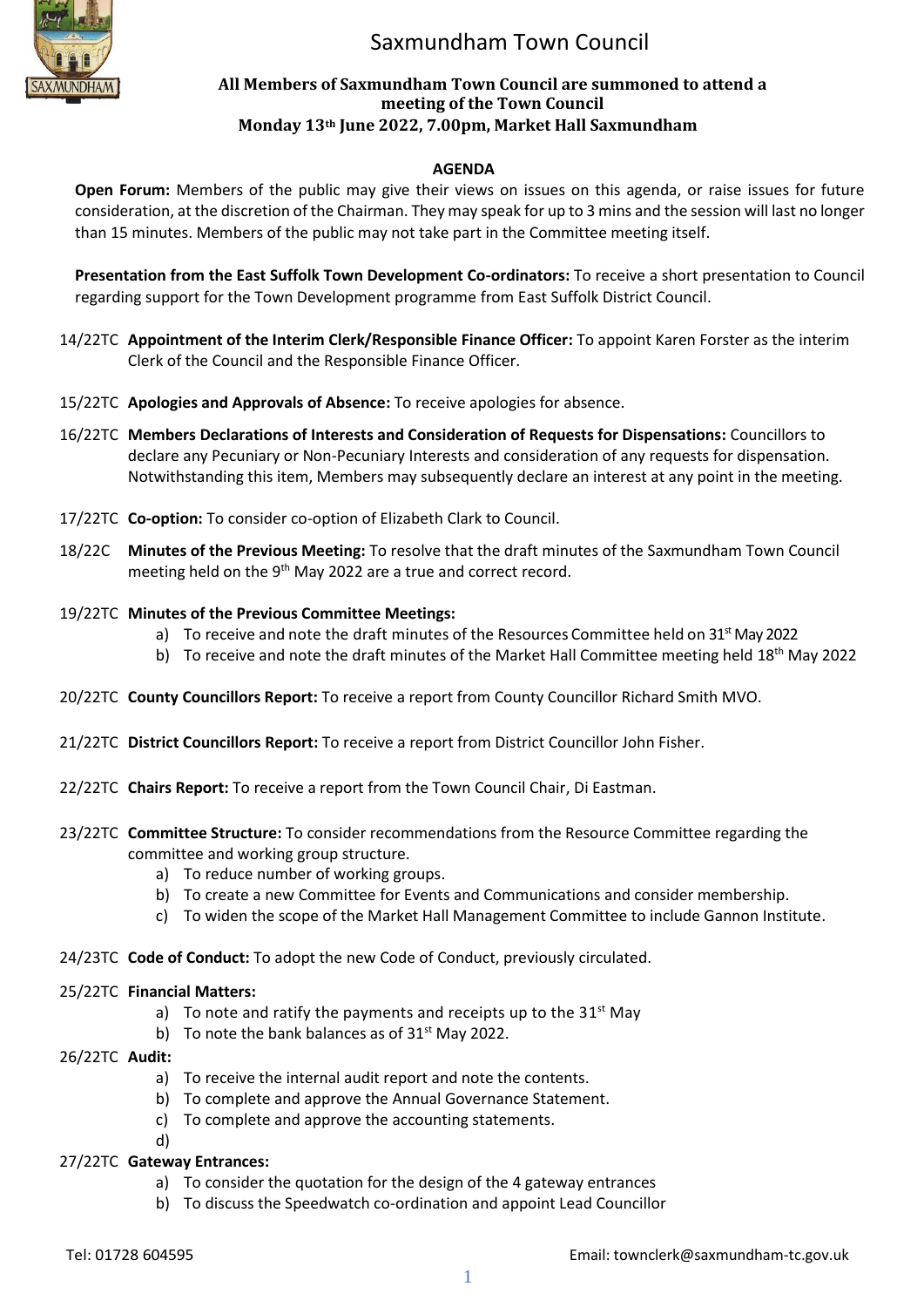

# Saxmundham Town Council

#### **All Members of Saxmundham Town Council are summoned to attend a meeting of the Town Council Monday 13th June 2022, 7.00pm, Market Hall Saxmundham**

### **AGENDA**

**Open Forum:** Members of the public may give their views on issues on this agenda, or raise issues for future consideration, at the discretion of the Chairman. They may speak for up to 3 mins and the session will last no longer than 15 minutes. Members of the public may not take part in the Committee meeting itself.

**Presentation from the East Suffolk Town Development Co-ordinators:** To receive a short presentation to Council regarding support for the Town Development programme from East Suffolk District Council.

- 14/22TC **Appointment of the Interim Clerk/Responsible Finance Officer:** To appoint Karen Forster as the interim Clerk of the Council and the Responsible Finance Officer.
- 15/22TC **Apologies and Approvals of Absence:** To receive apologies for absence.
- 16/22TC **Members Declarations of Interests and Consideration of Requests for Dispensations:** Councillors to declare any Pecuniary or Non-Pecuniary Interests and consideration of any requests for dispensation. Notwithstanding this item, Members may subsequently declare an interest at any point in the meeting.
- 17/22TC **Co-option:** To consider co-option of Elizabeth Clark to Council.
- 18/22C **Minutes of the Previous Meeting:** To resolve that the draft minutes of the Saxmundham Town Council meeting held on the 9<sup>th</sup> May 2022 are a true and correct record.
- 19/22TC **Minutes of the Previous Committee Meetings:**
	- a) To receive and note the draft minutes of the Resources Committee held on  $31<sup>st</sup>$  May 2022
	- b) To receive and note the draft minutes of the Market Hall Committee meeting held 18<sup>th</sup> May 2022
- 20/22TC **County Councillors Report:** To receive a report from County Councillor Richard Smith MVO.
- 21/22TC **District Councillors Report:** To receive a report from District Councillor John Fisher.
- 22/22TC **Chairs Report:** To receive a report from the Town Council Chair, Di Eastman.
- 23/22TC **Committee Structure:** To consider recommendations from the Resource Committee regarding the committee and working group structure.
	- a) To reduce number of working groups.
	- b) To create a new Committee for Events and Communications and consider membership.
	- c) To widen the scope of the Market Hall Management Committee to include Gannon Institute.
- 24/23TC **Code of Conduct:** To adopt the new Code of Conduct, previously circulated.

#### 25/22TC **Financial Matters:**

- a) To note and ratify the payments and receipts up to the 31 $^{\text{st}}$  May
- b) To note the bank balances as of  $31<sup>st</sup>$  May 2022.
- 26/22TC **Audit:**
	- a) To receive the internal audit report and note the contents.
	- b) To complete and approve the Annual Governance Statement.
	- c) To complete and approve the accounting statements.
	- d)

#### 27/22TC **Gateway Entrances:**

- a) To consider the quotation for the design of the 4 gateway entrances
- b) To discuss the Speedwatch co-ordination and appoint Lead Councillor